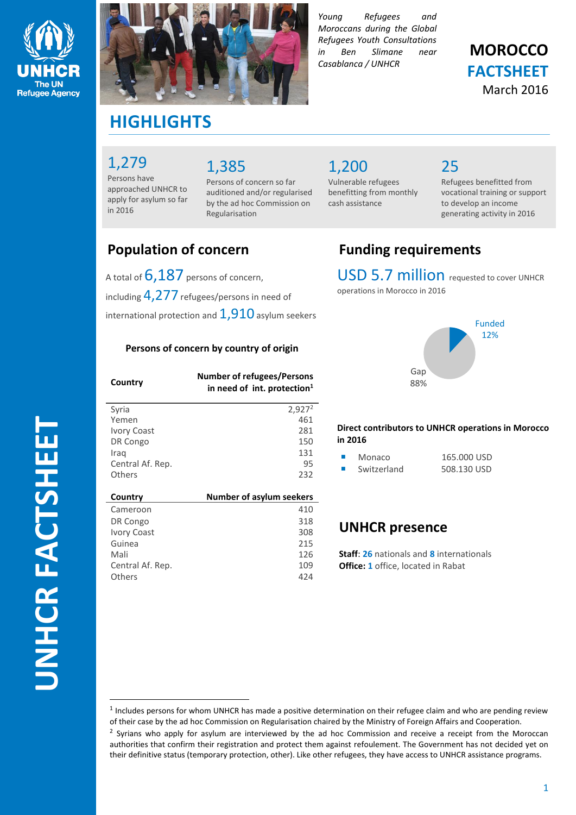



*Young Refugees and Moroccans during the Global Refugees Youth Consultations in Ben Slimane near Casablanca / UNHCR*

## **MOROCCO FACTSHEET** March 2016

# **HIGHLIGHTS**

### 1,279

Persons have approached UNHCR to apply for asylum so far in 2016

# 1,385

Persons of concern so far auditioned and/or regularised by the ad hoc Commission on Regularisation

1,200

Vulnerable refugees benefitting from monthly cash assistance

## 25

Refugees benefitted from vocational training or support to develop an income generating activity in 2016

A total of  $6,187$  persons of concern, including 4,277 refugees/persons in need of international protection and  $1,910$  asylum seekers

### **Persons of concern by country of origin**

| Country          | <b>Number of refugees/Persons</b><br>in need of int. protection <sup>1</sup> |
|------------------|------------------------------------------------------------------------------|
| Svria            | $2,927^2$                                                                    |
| Yemen            | 461                                                                          |
| Ivory Coast      | 281                                                                          |
| DR Congo         | 150                                                                          |
| Iraq             | 131                                                                          |
| Central Af. Rep. | 95                                                                           |
| Others           | 232                                                                          |
|                  |                                                                              |
| Country          | Number of asylum seekers                                                     |
| Cameroon         | 410                                                                          |
| DR Congo         | 318                                                                          |
| Ivory Coast      | 308                                                                          |
| Guinea           | 215                                                                          |
| Mali             | 126                                                                          |
| Central Af. Rep. | 109                                                                          |
| Others           | 424                                                                          |

# **Population of concern Funding requirements**

USD 5.7 million requested to cover UNHCR operations in Morocco in 2016



**Direct contributors to UNHCR operations in Morocco in 2016**

| Monaco      | 165,000 USD |
|-------------|-------------|
| Switzerland | 508.130 USD |

### **UNHCR presence**

**Staff**: **26** nationals and **8** internationals **Office: 1** office, located in Rabat

 $\overline{a}$ 

<sup>&</sup>lt;sup>1</sup> Includes persons for whom UNHCR has made a positive determination on their refugee claim and who are pending review of their case by the ad hoc Commission on Regularisation chaired by the Ministry of Foreign Affairs and Cooperation. <sup>2</sup> Syrians who apply for asylum are interviewed by the ad hoc Commission and receive a receipt from the Moroccan authorities that confirm their registration and protect them against refoulement. The Government has not decided yet on their definitive status (temporary protection, other). Like other refugees, they have access to UNHCR assistance programs.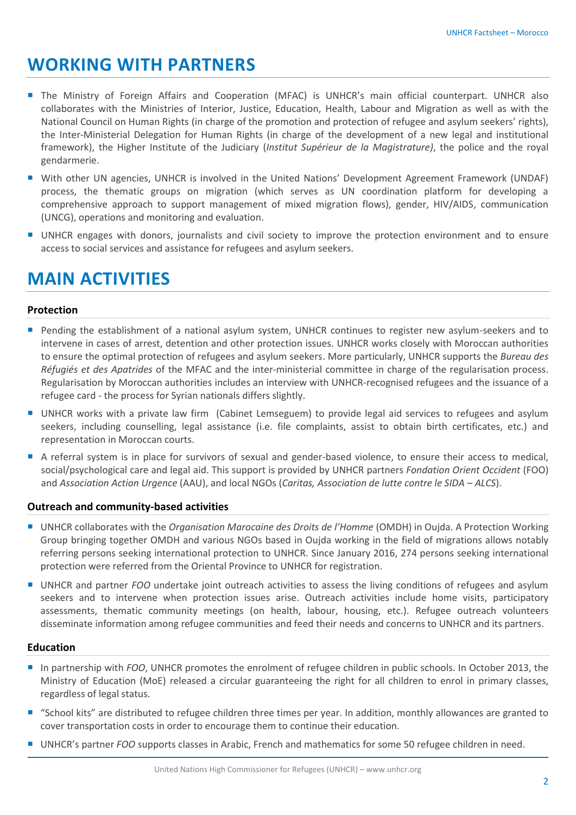# **WORKING WITH PARTNERS**

- **The Ministry of Foreign Affairs and Cooperation (MFAC) is UNHCR's main official counterpart. UNHCR also** collaborates with the Ministries of Interior, Justice, Education, Health, Labour and Migration as well as with the National Council on Human Rights (in charge of the promotion and protection of refugee and asylum seekers' rights), the Inter-Ministerial Delegation for Human Rights (in charge of the development of a new legal and institutional framework), the Higher Institute of the Judiciary (*Institut Supérieur de la Magistrature)*, the police and the royal gendarmerie.
- With other UN agencies, UNHCR is involved in the United Nations' Development Agreement Framework (UNDAF) process, the thematic groups on migration (which serves as UN coordination platform for developing a comprehensive approach to support management of mixed migration flows), gender, HIV/AIDS, communication (UNCG), operations and monitoring and evaluation.
- UNHCR engages with donors, journalists and civil society to improve the protection environment and to ensure access to social services and assistance for refugees and asylum seekers.

# **MAIN ACTIVITIES**

### **Protection**

- **Pending the establishment of a national asylum system, UNHCR continues to register new asylum-seekers and to** intervene in cases of arrest, detention and other protection issues. UNHCR works closely with Moroccan authorities to ensure the optimal protection of refugees and asylum seekers. More particularly, UNHCR supports the *Bureau des Réfugiés et des Apatrides* of the MFAC and the inter-ministerial committee in charge of the regularisation process. Regularisation by Moroccan authorities includes an interview with UNHCR-recognised refugees and the issuance of a refugee card - the process for Syrian nationals differs slightly.
- UNHCR works with a private law firm (Cabinet Lemseguem) to provide legal aid services to refugees and asylum seekers, including counselling, legal assistance (i.e. file complaints, assist to obtain birth certificates, etc.) and representation in Moroccan courts.
- A referral system is in place for survivors of sexual and gender-based violence, to ensure their access to medical, social/psychological care and legal aid. This support is provided by UNHCR partners *Fondation Orient Occident* (FOO) and *Association Action Urgence* (AAU), and local NGOs (*Caritas, Association de lutte contre le SIDA – ALCS*).

### **Outreach and community-based activities**

- UNHCR collaborates with the *Organisation Marocaine des Droits de l'Homme* (OMDH) in Oujda. A Protection Working Group bringing together OMDH and various NGOs based in Oujda working in the field of migrations allows notably referring persons seeking international protection to UNHCR. Since January 2016, 274 persons seeking international protection were referred from the Oriental Province to UNHCR for registration.
- UNHCR and partner *FOO* undertake joint outreach activities to assess the living conditions of refugees and asylum seekers and to intervene when protection issues arise. Outreach activities include home visits, participatory assessments, thematic community meetings (on health, labour, housing, etc.). Refugee outreach volunteers disseminate information among refugee communities and feed their needs and concerns to UNHCR and its partners.

### **Education**

- In partnership with *FOO*, UNHCR promotes the enrolment of refugee children in public schools. In October 2013, the Ministry of Education (MoE) released a circular guaranteeing the right for all children to enrol in primary classes, regardless of legal status.
- "School kits" are distributed to refugee children three times per year. In addition, monthly allowances are granted to cover transportation costs in order to encourage them to continue their education.
- UNHCR's partner *FOO* supports classes in Arabic, French and mathematics for some 50 refugee children in need.